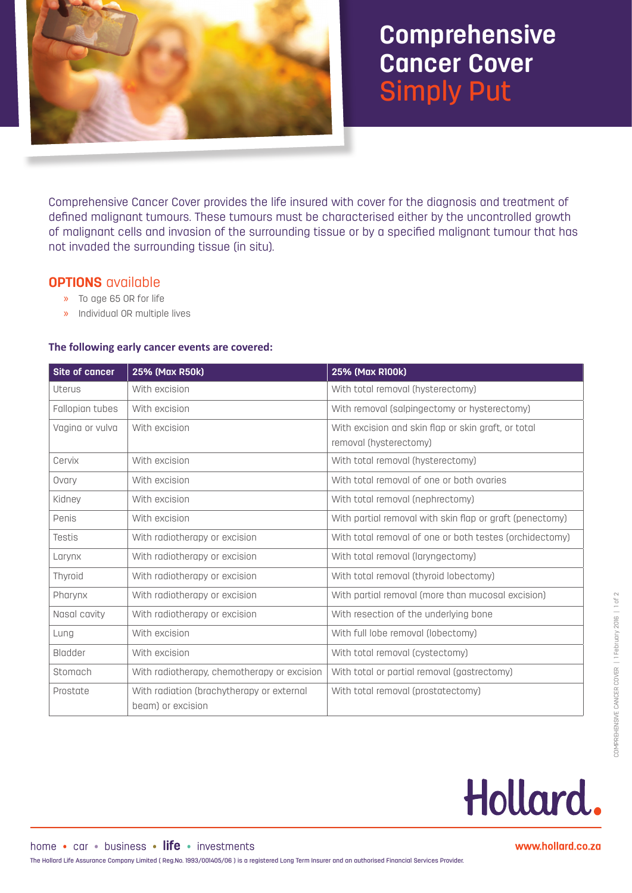

# **Comprehensive Cancer Cover** Simply Put

Comprehensive Cancer Cover provides the life insured with cover for the diagnosis and treatment of defined malignant tumours. These tumours must be characterised either by the uncontrolled growth of malignant cells and invasion of the surrounding tissue or by a specified malignant tumour that has not invaded the surrounding tissue (in situ).

#### **OPTIONS** available

- » To age 65 OR for life
- » Individual OR multiple lives

#### **The following early cancer events are covered:**

| Site of cancer  | 25% (Max R50k)                                                 | 25% (Max R100k)                                                               |  |
|-----------------|----------------------------------------------------------------|-------------------------------------------------------------------------------|--|
| <b>Uterus</b>   | With excision                                                  | With total removal (hysterectomy)                                             |  |
| Fallopian tubes | With excision                                                  | With removal (salpingectomy or hysterectomy)                                  |  |
| Vagina or vulva | With excision                                                  | With excision and skin flap or skin graft, or total<br>removal (hysterectomy) |  |
| Cervix          | With excision                                                  | With total removal (hysterectomy)                                             |  |
| Ovary           | With excision                                                  | With total removal of one or both ovaries                                     |  |
| Kidney          | With excision                                                  | With total removal (nephrectomy)                                              |  |
| Penis           | With excision                                                  | With partial removal with skin flap or graft (penectomy)                      |  |
| Testis          | With radiotherapy or excision                                  | With total removal of one or both testes (orchidectomy)                       |  |
| Larynx          | With radiotherapy or excision                                  | With total removal (laryngectomy)                                             |  |
| Thyroid         | With radiotherapy or excision                                  | With total removal (thyroid lobectomy)                                        |  |
| Pharynx         | With radiotherapy or excision                                  | With partial removal (more than mucosal excision)                             |  |
| Nasal cavity    | With radiotherapy or excision                                  | With resection of the underlying bone                                         |  |
| Lung            | With excision                                                  | With full lobe removal (lobectomy)                                            |  |
| Bladder         | With excision                                                  | With total removal (cystectomy)                                               |  |
| Stomach         | With radiotherapy, chemotherapy or excision                    | With total or partial removal (gastrectomy)                                   |  |
| Prostate        | With radiation (brachytherapy or external<br>beam) or excision | With total removal (prostatectomy)                                            |  |